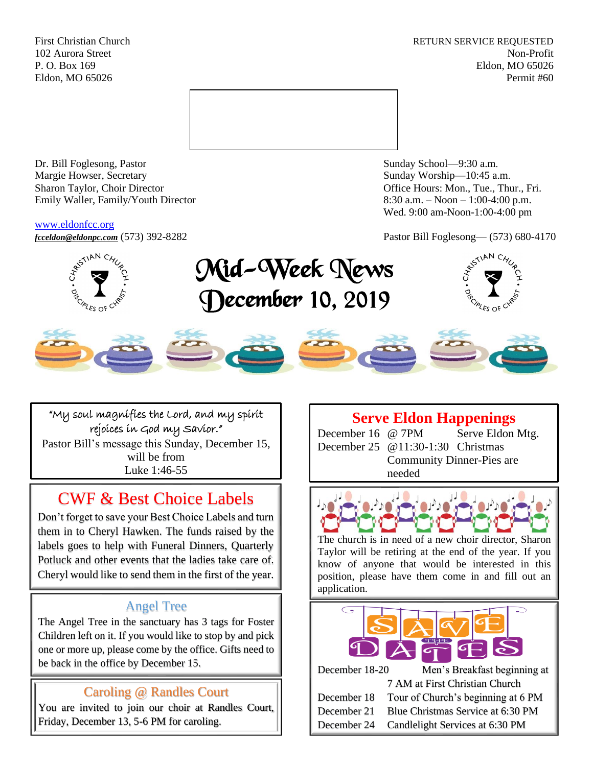First Christian Church **RETURN SERVICE REQUESTED** 102 Aurora Street Non-Profit P. O. Box 169 Eldon, MO 65026 Eldon, MO 65026 Permit #60



Dr. Bill Foglesong, Pastor Sunday School—9:30 a.m. Margie Howser, Secretary Sunday Worship—10:45 a.m. Sharon Taylor, Choir Director **Channel Controllering Controllering Controllering Controllering Controllering Controllering Controllering Controllering Controllering Controllering Controllering Controllering Controllering C** Emily Waller, Family/Youth Director 8:30 a.m. – Noon – 1:00-4:00 p.m.

## [www.eldonfcc.org](http://www.eldonfcc.org/)

Wed. 9:00 am-Noon-1:00-4:00 pm

*[fcceldon@eldonpc.com](mailto:fcceldon@eldonpc.com)* (573) 392-8282 Pastor Bill Foglesong— (573) 680-4170



# Mid-Week News December 10, 2019





"My soul magnifies the Lord, and my spirit rejoices in God my Savior." Pastor Bill's message this Sunday, December 15, will be from Luke 1:46-55

# CWF & Best Choice Labels

Don't forget to save your Best Choice Labels and turn them in to Cheryl Hawken. The funds raised by the labels goes to help with Funeral Dinners, Quarterly Potluck and other events that the ladies take care of. Cheryl would like to send them in the first of the year.

# Angel Tree

The Angel Tree in the sanctuary has 3 tags for Foster Children left on it. If you would like to stop by and pick one or more up, please come by the office. Gifts need to be back in the office by December 15.

# Caroling @ Randles Court

You are invited to join our choir at Randles Court, Friday, December 13, 5-6 PM for caroling.

# **Serve Eldon Happenings**

December 16 @ 7PM Serve Eldon Mtg. December 25 @11:30-1:30 Christmas Community Dinner-Pies are needed



The church is in need of a new choir director, Sharon Taylor will be retiring at the end of the year. If you know of anyone that would be interested in this position, please have them come in and fill out an application.



| December 18-20 | Men's Breakfast beginning at       |
|----------------|------------------------------------|
|                | 7 AM at First Christian Church     |
| December 18    | Tour of Church's beginning at 6 PM |
| December 21    | Blue Christmas Service at 6:30 PM  |
| December 24    | Candlelight Services at 6:30 PM    |